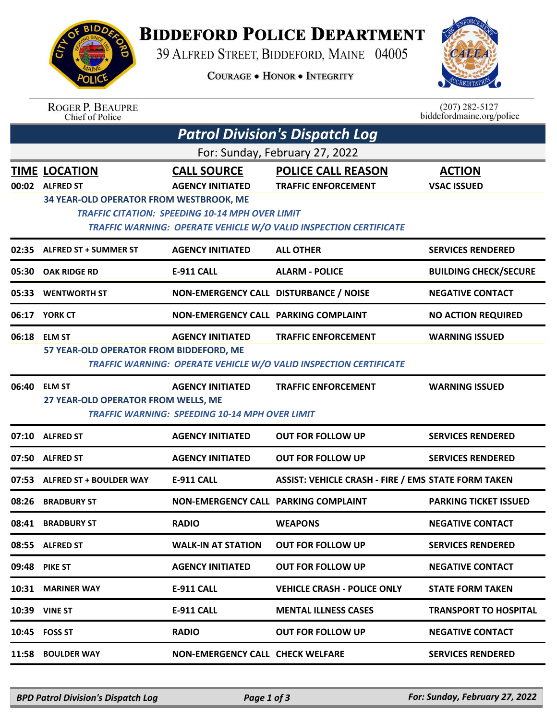

## **BIDDEFORD POLICE DEPARTMENT**

39 ALFRED STREET, BIDDEFORD, MAINE 04005

**COURAGE . HONOR . INTEGRITY** 



| <b>ROGER P. BEAUPRE</b> |
|-------------------------|
| Chief of Police         |

 $(207)$  282-5127<br>biddefordmaine.org/police

| <b>Patrol Division's Dispatch Log</b> |                                                                                                                             |                                                                                  |                                                                                                 |                                     |  |  |  |  |  |
|---------------------------------------|-----------------------------------------------------------------------------------------------------------------------------|----------------------------------------------------------------------------------|-------------------------------------------------------------------------------------------------|-------------------------------------|--|--|--|--|--|
| For: Sunday, February 27, 2022        |                                                                                                                             |                                                                                  |                                                                                                 |                                     |  |  |  |  |  |
| 00:02                                 | <b>TIME LOCATION</b><br><b>ALFRED ST</b><br>34 YEAR-OLD OPERATOR FROM WESTBROOK, ME                                         | <b>CALL SOURCE</b><br><b>AGENCY INITIATED</b>                                    | <b>POLICE CALL REASON</b><br><b>TRAFFIC ENFORCEMENT</b>                                         | <b>ACTION</b><br><b>VSAC ISSUED</b> |  |  |  |  |  |
|                                       | <b>TRAFFIC CITATION: SPEEDING 10-14 MPH OVER LIMIT</b><br>TRAFFIC WARNING: OPERATE VEHICLE W/O VALID INSPECTION CERTIFICATE |                                                                                  |                                                                                                 |                                     |  |  |  |  |  |
| 02:35                                 | <b>ALFRED ST + SUMMER ST</b>                                                                                                | <b>AGENCY INITIATED</b>                                                          | <b>ALL OTHER</b>                                                                                | <b>SERVICES RENDERED</b>            |  |  |  |  |  |
| 05:30                                 | <b>OAK RIDGE RD</b>                                                                                                         | <b>E-911 CALL</b>                                                                | <b>ALARM - POLICE</b>                                                                           | <b>BUILDING CHECK/SECURE</b>        |  |  |  |  |  |
| 05:33                                 | <b>WENTWORTH ST</b>                                                                                                         | NON-EMERGENCY CALL DISTURBANCE / NOISE                                           |                                                                                                 | <b>NEGATIVE CONTACT</b>             |  |  |  |  |  |
|                                       | 06:17 YORK CT                                                                                                               | <b>NON-EMERGENCY CALL PARKING COMPLAINT</b>                                      |                                                                                                 | <b>NO ACTION REQUIRED</b>           |  |  |  |  |  |
| 06:18                                 | <b>ELM ST</b><br>57 YEAR-OLD OPERATOR FROM BIDDEFORD, ME                                                                    | <b>AGENCY INITIATED</b>                                                          | <b>TRAFFIC ENFORCEMENT</b><br>TRAFFIC WARNING: OPERATE VEHICLE W/O VALID INSPECTION CERTIFICATE | <b>WARNING ISSUED</b>               |  |  |  |  |  |
| 06:40                                 | <b>ELM ST</b><br>27 YEAR-OLD OPERATOR FROM WELLS, ME                                                                        | <b>AGENCY INITIATED</b><br><b>TRAFFIC WARNING: SPEEDING 10-14 MPH OVER LIMIT</b> | <b>TRAFFIC ENFORCEMENT</b>                                                                      | <b>WARNING ISSUED</b>               |  |  |  |  |  |
| 07:10                                 | <b>ALFRED ST</b>                                                                                                            | <b>AGENCY INITIATED</b>                                                          | <b>OUT FOR FOLLOW UP</b>                                                                        | <b>SERVICES RENDERED</b>            |  |  |  |  |  |
| 07:50                                 | <b>ALFRED ST</b>                                                                                                            | <b>AGENCY INITIATED</b>                                                          | <b>OUT FOR FOLLOW UP</b>                                                                        | <b>SERVICES RENDERED</b>            |  |  |  |  |  |
| 07:53                                 | <b>ALFRED ST + BOULDER WAY</b>                                                                                              | <b>E-911 CALL</b>                                                                | <b>ASSIST: VEHICLE CRASH - FIRE / EMS STATE FORM TAKEN</b>                                      |                                     |  |  |  |  |  |
| 08:26                                 | <b>BRADBURY ST</b>                                                                                                          | NON-EMERGENCY CALL PARKING COMPLAINT                                             |                                                                                                 | <b>PARKING TICKET ISSUED</b>        |  |  |  |  |  |
| 08:41                                 | <b>BRADBURY ST</b>                                                                                                          | <b>RADIO</b>                                                                     | <b>WEAPONS</b>                                                                                  | <b>NEGATIVE CONTACT</b>             |  |  |  |  |  |
|                                       | 08:55 ALFRED ST                                                                                                             | <b>WALK-IN AT STATION</b>                                                        | <b>OUT FOR FOLLOW UP</b>                                                                        | <b>SERVICES RENDERED</b>            |  |  |  |  |  |
| 09:48                                 | <b>PIKE ST</b>                                                                                                              | <b>AGENCY INITIATED</b>                                                          | <b>OUT FOR FOLLOW UP</b>                                                                        | <b>NEGATIVE CONTACT</b>             |  |  |  |  |  |
| 10:31                                 | <b>MARINER WAY</b>                                                                                                          | <b>E-911 CALL</b>                                                                | <b>VEHICLE CRASH - POLICE ONLY</b>                                                              | <b>STATE FORM TAKEN</b>             |  |  |  |  |  |
|                                       | 10:39 VINE ST                                                                                                               | <b>E-911 CALL</b>                                                                | <b>MENTAL ILLNESS CASES</b>                                                                     | <b>TRANSPORT TO HOSPITAL</b>        |  |  |  |  |  |
|                                       | 10:45 FOSS ST                                                                                                               | <b>RADIO</b>                                                                     | <b>OUT FOR FOLLOW UP</b>                                                                        | <b>NEGATIVE CONTACT</b>             |  |  |  |  |  |
| 11:58                                 | <b>BOULDER WAY</b>                                                                                                          | <b>NON-EMERGENCY CALL CHECK WELFARE</b>                                          |                                                                                                 | <b>SERVICES RENDERED</b>            |  |  |  |  |  |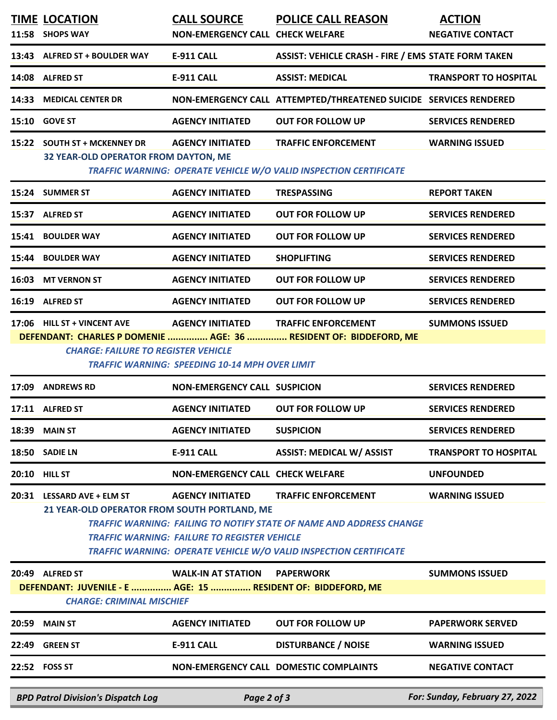| <b>MAIN ST</b><br><b>GREEN ST</b><br>22:52 FOSS ST                                                                                                                                                                                                                                        | <b>AGENCY INITIATED</b><br><b>E-911 CALL</b>        | <b>OUT FOR FOLLOW UP</b><br><b>DISTURBANCE / NOISE</b><br>NON-EMERGENCY CALL DOMESTIC COMPLAINTS                                                       | <b>PAPERWORK SERVED</b><br><b>WARNING ISSUED</b><br><b>NEGATIVE CONTACT</b>                                                                                                                                           |  |  |  |  |  |
|-------------------------------------------------------------------------------------------------------------------------------------------------------------------------------------------------------------------------------------------------------------------------------------------|-----------------------------------------------------|--------------------------------------------------------------------------------------------------------------------------------------------------------|-----------------------------------------------------------------------------------------------------------------------------------------------------------------------------------------------------------------------|--|--|--|--|--|
|                                                                                                                                                                                                                                                                                           |                                                     |                                                                                                                                                        |                                                                                                                                                                                                                       |  |  |  |  |  |
|                                                                                                                                                                                                                                                                                           |                                                     |                                                                                                                                                        |                                                                                                                                                                                                                       |  |  |  |  |  |
|                                                                                                                                                                                                                                                                                           |                                                     |                                                                                                                                                        |                                                                                                                                                                                                                       |  |  |  |  |  |
| DEFENDANT: JUVENILE - E  AGE: 15  RESIDENT OF: BIDDEFORD, ME<br><b>CHARGE: CRIMINAL MISCHIEF</b>                                                                                                                                                                                          |                                                     |                                                                                                                                                        |                                                                                                                                                                                                                       |  |  |  |  |  |
| 20:49 ALFRED ST                                                                                                                                                                                                                                                                           | <b>WALK-IN AT STATION</b>                           | <b>PAPERWORK</b>                                                                                                                                       | <b>SUMMONS ISSUED</b>                                                                                                                                                                                                 |  |  |  |  |  |
| 21 YEAR-OLD OPERATOR FROM SOUTH PORTLAND, ME                                                                                                                                                                                                                                              | <b>TRAFFIC WARNING: FAILURE TO REGISTER VEHICLE</b> | <b>TRAFFIC WARNING: FAILING TO NOTIFY STATE OF NAME AND ADDRESS CHANGE</b><br><b>TRAFFIC WARNING: OPERATE VEHICLE W/O VALID INSPECTION CERTIFICATE</b> |                                                                                                                                                                                                                       |  |  |  |  |  |
| 20:31 LESSARD AVE + ELM ST                                                                                                                                                                                                                                                                | <b>AGENCY INITIATED</b>                             | <b>TRAFFIC ENFORCEMENT</b>                                                                                                                             | <b>WARNING ISSUED</b>                                                                                                                                                                                                 |  |  |  |  |  |
| 20:10 HILL ST                                                                                                                                                                                                                                                                             | NON-EMERGENCY CALL CHECK WELFARE                    |                                                                                                                                                        | <b>UNFOUNDED</b>                                                                                                                                                                                                      |  |  |  |  |  |
| 18:50 SADIE LN                                                                                                                                                                                                                                                                            | E-911 CALL                                          | <b>ASSIST: MEDICAL W/ ASSIST</b>                                                                                                                       | <b>TRANSPORT TO HOSPITAL</b>                                                                                                                                                                                          |  |  |  |  |  |
| <b>18:39 MAIN ST</b>                                                                                                                                                                                                                                                                      | <b>AGENCY INITIATED</b>                             | <b>SUSPICION</b>                                                                                                                                       | <b>SERVICES RENDERED</b>                                                                                                                                                                                              |  |  |  |  |  |
| 17:11 ALFRED ST                                                                                                                                                                                                                                                                           | <b>AGENCY INITIATED</b>                             | <b>OUT FOR FOLLOW UP</b>                                                                                                                               | <b>SERVICES RENDERED</b>                                                                                                                                                                                              |  |  |  |  |  |
| <b>ANDREWS RD</b>                                                                                                                                                                                                                                                                         | <b>NON-EMERGENCY CALL SUSPICION</b>                 |                                                                                                                                                        | <b>SERVICES RENDERED</b>                                                                                                                                                                                              |  |  |  |  |  |
| <b>AGENCY INITIATED</b><br>17:06 HILL ST + VINCENT AVE<br><b>TRAFFIC ENFORCEMENT</b><br><b>SUMMONS ISSUED</b><br>DEFENDANT: CHARLES P DOMENIE  AGE: 36  RESIDENT OF: BIDDEFORD, ME<br><b>CHARGE: FAILURE TO REGISTER VEHICLE</b><br><b>TRAFFIC WARNING: SPEEDING 10-14 MPH OVER LIMIT</b> |                                                     |                                                                                                                                                        |                                                                                                                                                                                                                       |  |  |  |  |  |
| 16:19 ALFRED ST                                                                                                                                                                                                                                                                           | <b>AGENCY INITIATED</b>                             | <b>OUT FOR FOLLOW UP</b>                                                                                                                               | <b>SERVICES RENDERED</b>                                                                                                                                                                                              |  |  |  |  |  |
| 16:03 MT VERNON ST                                                                                                                                                                                                                                                                        | <b>AGENCY INITIATED</b>                             | <b>OUT FOR FOLLOW UP</b>                                                                                                                               | <b>SERVICES RENDERED</b>                                                                                                                                                                                              |  |  |  |  |  |
| 15:44 BOULDER WAY                                                                                                                                                                                                                                                                         | <b>AGENCY INITIATED</b>                             | <b>SHOPLIFTING</b>                                                                                                                                     | <b>SERVICES RENDERED</b>                                                                                                                                                                                              |  |  |  |  |  |
| 15:41 BOULDER WAY                                                                                                                                                                                                                                                                         | <b>AGENCY INITIATED</b>                             | <b>OUT FOR FOLLOW UP</b>                                                                                                                               | <b>SERVICES RENDERED</b>                                                                                                                                                                                              |  |  |  |  |  |
| 15:37 ALFRED ST                                                                                                                                                                                                                                                                           | <b>AGENCY INITIATED</b>                             | <b>OUT FOR FOLLOW UP</b>                                                                                                                               | <b>SERVICES RENDERED</b>                                                                                                                                                                                              |  |  |  |  |  |
| 15:24 SUMMER ST                                                                                                                                                                                                                                                                           | <b>AGENCY INITIATED</b>                             | <b>TRESPASSING</b>                                                                                                                                     | <b>REPORT TAKEN</b>                                                                                                                                                                                                   |  |  |  |  |  |
| 15:22 SOUTH ST + MCKENNEY DR                                                                                                                                                                                                                                                              |                                                     | <b>TRAFFIC ENFORCEMENT</b>                                                                                                                             | <b>WARNING ISSUED</b>                                                                                                                                                                                                 |  |  |  |  |  |
| <b>15:10 GOVE ST</b>                                                                                                                                                                                                                                                                      | <b>AGENCY INITIATED</b>                             | <b>OUT FOR FOLLOW UP</b>                                                                                                                               | <b>SERVICES RENDERED</b>                                                                                                                                                                                              |  |  |  |  |  |
| <b>MEDICAL CENTER DR</b>                                                                                                                                                                                                                                                                  |                                                     |                                                                                                                                                        |                                                                                                                                                                                                                       |  |  |  |  |  |
| 14:08 ALFRED ST                                                                                                                                                                                                                                                                           | <b>E-911 CALL</b>                                   | <b>ASSIST: MEDICAL</b>                                                                                                                                 | <b>TRANSPORT TO HOSPITAL</b>                                                                                                                                                                                          |  |  |  |  |  |
| 13:43 ALFRED ST + BOULDER WAY                                                                                                                                                                                                                                                             | <b>E-911 CALL</b>                                   | <b>ASSIST: VEHICLE CRASH - FIRE / EMS STATE FORM TAKEN</b>                                                                                             |                                                                                                                                                                                                                       |  |  |  |  |  |
| 11:58 SHOPS WAY                                                                                                                                                                                                                                                                           |                                                     |                                                                                                                                                        | <b>ACTION</b><br><b>NEGATIVE CONTACT</b>                                                                                                                                                                              |  |  |  |  |  |
|                                                                                                                                                                                                                                                                                           | <b>TIME LOCATION</b>                                | <b>CALL SOURCE</b><br><b>AGENCY INITIATED</b><br>32 YEAR-OLD OPERATOR FROM DAYTON, ME                                                                  | <b>POLICE CALL REASON</b><br><b>NON-EMERGENCY CALL CHECK WELFARE</b><br>NON-EMERGENCY CALL ATTEMPTED/THREATENED SUICIDE SERVICES RENDERED<br><b>TRAFFIC WARNING: OPERATE VEHICLE W/O VALID INSPECTION CERTIFICATE</b> |  |  |  |  |  |